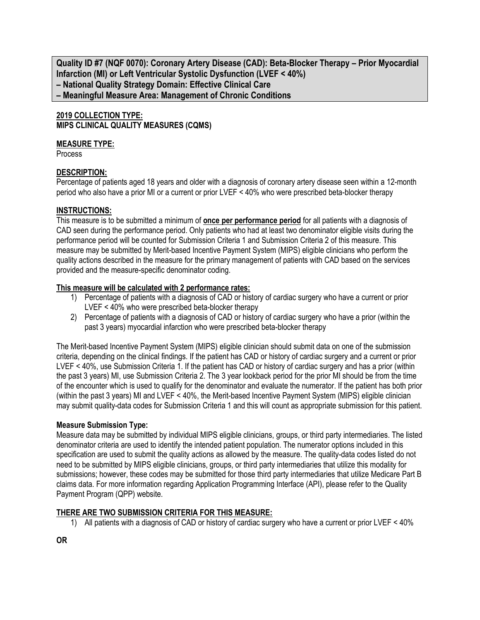**Quality ID #7 (NQF 0070): Coronary Artery Disease (CAD): Beta-Blocker Therapy – Prior Myocardial Infarction (MI) or Left Ventricular Systolic Dysfunction (LVEF < 40%) – National Quality Strategy Domain: Effective Clinical Care – Meaningful Measure Area: Management of Chronic Conditions**

## **2019 COLLECTION TYPE: MIPS CLINICAL QUALITY MEASURES (CQMS)**

## **MEASURE TYPE:**

Process

## **DESCRIPTION:**

Percentage of patients aged 18 years and older with a diagnosis of coronary artery disease seen within a 12-month period who also have a prior MI or a current or prior LVEF < 40% who were prescribed beta-blocker therapy

## **INSTRUCTIONS:**

This measure is to be submitted a minimum of **once per performance period** for all patients with a diagnosis of CAD seen during the performance period. Only patients who had at least two denominator eligible visits during the performance period will be counted for Submission Criteria 1 and Submission Criteria 2 of this measure. This measure may be submitted by Merit-based Incentive Payment System (MIPS) eligible clinicians who perform the quality actions described in the measure for the primary management of patients with CAD based on the services provided and the measure-specific denominator coding.

## **This measure will be calculated with 2 performance rates:**

- 1) Percentage of patients with a diagnosis of CAD or history of cardiac surgery who have a current or prior LVEF < 40% who were prescribed beta-blocker therapy
- 2) Percentage of patients with a diagnosis of CAD or history of cardiac surgery who have a prior (within the past 3 years) myocardial infarction who were prescribed beta-blocker therapy

The Merit-based Incentive Payment System (MIPS) eligible clinician should submit data on one of the submission criteria, depending on the clinical findings. If the patient has CAD or history of cardiac surgery and a current or prior LVEF < 40%, use Submission Criteria 1. If the patient has CAD or history of cardiac surgery and has a prior (within the past 3 years) MI, use Submission Criteria 2. The 3 year lookback period for the prior MI should be from the time of the encounter which is used to qualify for the denominator and evaluate the numerator. If the patient has both prior (within the past 3 years) MI and LVEF < 40%, the Merit-based Incentive Payment System (MIPS) eligible clinician may submit quality-data codes for Submission Criteria 1 and this will count as appropriate submission for this patient.

## **Measure Submission Type:**

Measure data may be submitted by individual MIPS eligible clinicians, groups, or third party intermediaries. The listed denominator criteria are used to identify the intended patient population. The numerator options included in this specification are used to submit the quality actions as allowed by the measure. The quality-data codes listed do not need to be submitted by MIPS eligible clinicians, groups, or third party intermediaries that utilize this modality for submissions; however, these codes may be submitted for those third party intermediaries that utilize Medicare Part B claims data. For more information regarding Application Programming Interface (API), please refer to the Quality Payment Program (QPP) website.

## **THERE ARE TWO SUBMISSION CRITERIA FOR THIS MEASURE:**

1) All patients with a diagnosis of CAD or history of cardiac surgery who have a current or prior LVEF < 40%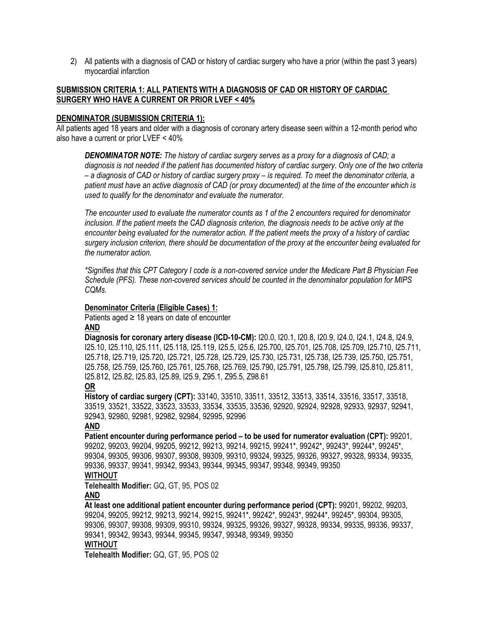2) All patients with a diagnosis of CAD or history of cardiac surgery who have a prior (within the past 3 years) myocardial infarction

## **SUBMISSION CRITERIA 1: ALL PATIENTS WITH A DIAGNOSIS OF CAD OR HISTORY OF CARDIAC SURGERY WHO HAVE A CURRENT OR PRIOR LVEF < 40%**

## **DENOMINATOR (SUBMISSION CRITERIA 1):**

All patients aged 18 years and older with a diagnosis of coronary artery disease seen within a 12-month period who also have a current or prior LVEF < 40%

*DENOMINATOR NOTE: The history of cardiac surgery serves as a proxy for a diagnosis of CAD; a diagnosis is not needed if the patient has documented history of cardiac surgery. Only one of the two criteria – a diagnosis of CAD or history of cardiac surgery proxy – is required. To meet the denominator criteria, a patient must have an active diagnosis of CAD (or proxy documented) at the time of the encounter which is used to qualify for the denominator and evaluate the numerator.*

*The encounter used to evaluate the numerator counts as 1 of the 2 encounters required for denominator inclusion. If the patient meets the CAD diagnosis criterion, the diagnosis needs to be active only at the encounter being evaluated for the numerator action. If the patient meets the proxy of a history of cardiac surgery inclusion criterion, there should be documentation of the proxy at the encounter being evaluated for the numerator action.*

*\*Signifies that this CPT Category I code is a non-covered service under the Medicare Part B Physician Fee Schedule (PFS). These non-covered services should be counted in the denominator population for MIPS CQMs.*

### **Denominator Criteria (Eligible Cases) 1:**

Patients aged  $\geq$  18 years on date of encounter **AND**

**Diagnosis for coronary artery disease (ICD-10-CM):** I20.0, I20.1, I20.8, I20.9, I24.0, I24.1, I24.8, I24.9, I25.10, I25.110, I25.111, I25.118, I25.119, I25.5, I25.6, I25.700, I25.701, I25.708, I25.709, I25.710, I25.711, I25.718, I25.719, I25.720, I25.721, I25.728, I25.729, I25.730, I25.731, I25.738, I25.739, I25.750, I25.751, I25.758, I25.759, I25.760, I25.761, I25.768, I25.769, I25.790, I25.791, I25.798, I25.799, I25.810, I25.811, I25.812, I25.82, I25.83, I25.89, I25.9, Z95.1, Z95.5, Z98.61

**History of cardiac surgery (CPT):** 33140, 33510, 33511, 33512, 33513, 33514, 33516, 33517, 33518, 33519, 33521, 33522, 33523, 33533, 33534, 33535, 33536, 92920, 92924, 92928, 92933, 92937, 92941, 92943, 92980, 92981, 92982, 92984, 92995, 92996

## **AND**

**Patient encounter during performance period – to be used for numerator evaluation (CPT):** 99201, 99202, 99203, 99204, 99205, 99212, 99213, 99214, 99215, 99241\*, 99242\*, 99243\*, 99244\*, 99245\*, 99304, 99305, 99306, 99307, 99308, 99309, 99310, 99324, 99325, 99326, 99327, 99328, 99334, 99335, 99336, 99337, 99341, 99342, 99343, 99344, 99345, 99347, 99348, 99349, 99350 **WITHOUT**

**Telehealth Modifier:** GQ, GT, 95, POS 02

**AND**

**At least one additional patient encounter during performance period (CPT):** 99201, 99202, 99203, 99204, 99205, 99212, 99213, 99214, 99215, 99241\*, 99242\*, 99243\*, 99244\*, 99245\*, 99304, 99305, 99306, 99307, 99308, 99309, 99310, 99324, 99325, 99326, 99327, 99328, 99334, 99335, 99336, 99337, 99341, 99342, 99343, 99344, 99345, 99347, 99348, 99349, 99350 **WITHOUT**

**Telehealth Modifier:** GQ, GT, 95, POS 02

**OR**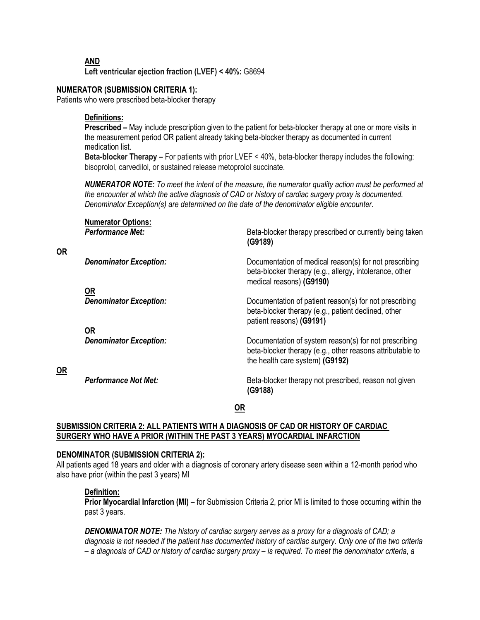**AND**

**Left ventricular ejection fraction (LVEF) < 40%:** G8694

### **NUMERATOR (SUBMISSION CRITERIA 1):**

Patients who were prescribed beta-blocker therapy

#### **Definitions:**

**OR**

**OR**

**Prescribed –** May include prescription given to the patient for beta-blocker therapy at one or more visits in the measurement period OR patient already taking beta-blocker therapy as documented in current medication list.

**Beta-blocker Therapy –** For patients with prior LVEF < 40%, beta-blocker therapy includes the following: bisoprolol, carvedilol, or sustained release metoprolol succinate.

*NUMERATOR NOTE: To meet the intent of the measure, the numerator quality action must be performed at the encounter at which the active diagnosis of CAD or history of cardiac surgery proxy is documented. Denominator Exception(s) are determined on the date of the denominator eligible encounter.*

| <b>Numerator Options:</b><br><b>Performance Met:</b> | Beta-blocker therapy prescribed or currently being taken<br>(G9189)                                                                                   |
|------------------------------------------------------|-------------------------------------------------------------------------------------------------------------------------------------------------------|
| <b>Denominator Exception:</b>                        | Documentation of medical reason(s) for not prescribing<br>beta-blocker therapy (e.g., allergy, intolerance, other<br>medical reasons) (G9190)         |
|                                                      |                                                                                                                                                       |
| <b>Denominator Exception:</b>                        | Documentation of patient reason(s) for not prescribing<br>beta-blocker therapy (e.g., patient declined, other<br>patient reasons) (G9191)             |
|                                                      |                                                                                                                                                       |
| <b>Denominator Exception:</b>                        | Documentation of system reason(s) for not prescribing<br>beta-blocker therapy (e.g., other reasons attributable to<br>the health care system) (G9192) |
| <b>Performance Not Met:</b>                          | Beta-blocker therapy not prescribed, reason not given<br>(G9188)                                                                                      |
|                                                      | <u>OR</u><br><b>OR</b>                                                                                                                                |

**OR**

## **SUBMISSION CRITERIA 2: ALL PATIENTS WITH A DIAGNOSIS OF CAD OR HISTORY OF CARDIAC SURGERY WHO HAVE A PRIOR (WITHIN THE PAST 3 YEARS) MYOCARDIAL INFARCTION**

#### **DENOMINATOR (SUBMISSION CRITERIA 2):**

All patients aged 18 years and older with a diagnosis of coronary artery disease seen within a 12-month period who also have prior (within the past 3 years) MI

## **Definition:**

**Prior Myocardial Infarction (MI)** – for Submission Criteria 2, prior MI is limited to those occurring within the past 3 years.

*DENOMINATOR NOTE: The history of cardiac surgery serves as a proxy for a diagnosis of CAD; a diagnosis is not needed if the patient has documented history of cardiac surgery. Only one of the two criteria*   $-$  *a diagnosis of CAD or history of cardiac surgery proxy – is required. To meet the denominator criteria, a*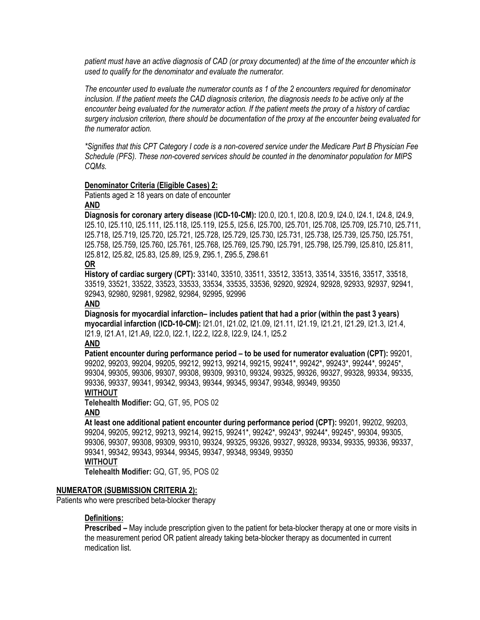*patient must have an active diagnosis of CAD (or proxy documented) at the time of the encounter which is used to qualify for the denominator and evaluate the numerator.*

*The encounter used to evaluate the numerator counts as 1 of the 2 encounters required for denominator inclusion. If the patient meets the CAD diagnosis criterion, the diagnosis needs to be active only at the encounter being evaluated for the numerator action. If the patient meets the proxy of a history of cardiac surgery inclusion criterion, there should be documentation of the proxy at the encounter being evaluated for the numerator action.*

*\*Signifies that this CPT Category I code is a non-covered service under the Medicare Part B Physician Fee Schedule (PFS). These non-covered services should be counted in the denominator population for MIPS CQMs.*

#### **Denominator Criteria (Eligible Cases) 2:**

Patients aged  $\geq$  18 years on date of encounter **AND**

**Diagnosis for coronary artery disease (ICD-10-CM):** I20.0, I20.1, I20.8, I20.9, I24.0, I24.1, I24.8, I24.9, I25.10, I25.110, I25.111, I25.118, I25.119, I25.5, I25.6, I25.700, I25.701, I25.708, I25.709, I25.710, I25.711, I25.718, I25.719, I25.720, I25.721, I25.728, I25.729, I25.730, I25.731, I25.738, I25.739, I25.750, I25.751, I25.758, I25.759, I25.760, I25.761, I25.768, I25.769, I25.790, I25.791, I25.798, I25.799, I25.810, I25.811, I25.812, I25.82, I25.83, I25.89, I25.9, Z95.1, Z95.5, Z98.61

#### **OR**

**History of cardiac surgery (CPT):** 33140, 33510, 33511, 33512, 33513, 33514, 33516, 33517, 33518, 33519, 33521, 33522, 33523, 33533, 33534, 33535, 33536, 92920, 92924, 92928, 92933, 92937, 92941, 92943, 92980, 92981, 92982, 92984, 92995, 92996

#### **AND**

**Diagnosis for myocardial infarction– includes patient that had a prior (within the past 3 years) myocardial infarction (ICD-10-CM):** I21.01, I21.02, I21.09, I21.11, I21.19, I21.21, I21.29, I21.3, I21.4, I21.9, I21.A1, I21.A9, I22.0, I22.1, I22.2, I22.8, I22.9, I24.1, I25.2

## **AND**

**Patient encounter during performance period – to be used for numerator evaluation (CPT):** 99201, 99202, 99203, 99204, 99205, 99212, 99213, 99214, 99215, 99241\*, 99242\*, 99243\*, 99244\*, 99245\*, 99304, 99305, 99306, 99307, 99308, 99309, 99310, 99324, 99325, 99326, 99327, 99328, 99334, 99335, 99336, 99337, 99341, 99342, 99343, 99344, 99345, 99347, 99348, 99349, 99350 **WITHOUT**

**Telehealth Modifier:** GQ, GT, 95, POS 02

#### **AND**

**At least one additional patient encounter during performance period (CPT):** 99201, 99202, 99203, 99204, 99205, 99212, 99213, 99214, 99215, 99241\*, 99242\*, 99243\*, 99244\*, 99245\*, 99304, 99305, 99306, 99307, 99308, 99309, 99310, 99324, 99325, 99326, 99327, 99328, 99334, 99335, 99336, 99337, 99341, 99342, 99343, 99344, 99345, 99347, 99348, 99349, 99350 **WITHOUT**

## **Telehealth Modifier:** GQ, GT, 95, POS 02

## **NUMERATOR (SUBMISSION CRITERIA 2):**

Patients who were prescribed beta-blocker therapy

## **Definitions:**

**Prescribed –** May include prescription given to the patient for beta-blocker therapy at one or more visits in the measurement period OR patient already taking beta-blocker therapy as documented in current medication list.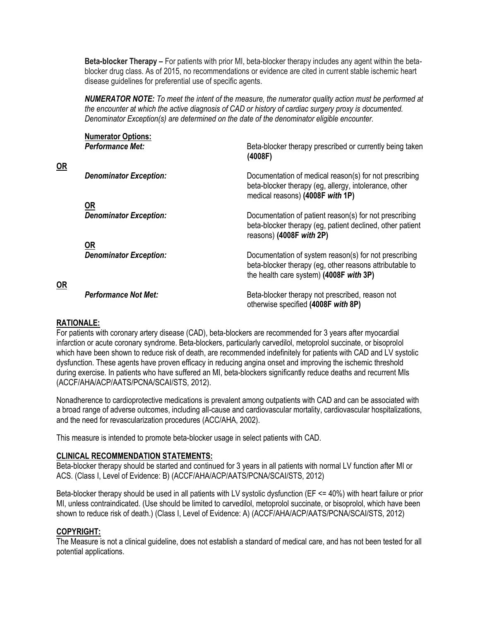**Beta-blocker Therapy –** For patients with prior MI, beta-blocker therapy includes any agent within the betablocker drug class. As of 2015, no recommendations or evidence are cited in current stable ischemic heart disease guidelines for preferential use of specific agents.

*NUMERATOR NOTE: To meet the intent of the measure, the numerator quality action must be performed at the encounter at which the active diagnosis of CAD or history of cardiac surgery proxy is documented. Denominator Exception(s) are determined on the date of the denominator eligible encounter.*

| <b>Numerator Options:</b><br><b>Performance Met:</b> | Beta-blocker therapy prescribed or currently being taken<br>(4008F)                                                                                         |
|------------------------------------------------------|-------------------------------------------------------------------------------------------------------------------------------------------------------------|
| <b>Denominator Exception:</b>                        | Documentation of medical reason(s) for not prescribing<br>beta-blocker therapy (eg, allergy, intolerance, other<br>medical reasons) (4008F with 1P)         |
| <u>OR</u><br><b>Denominator Exception:</b>           | Documentation of patient reason(s) for not prescribing<br>beta-blocker therapy (eg, patient declined, other patient<br>reasons) (4008F with 2P)             |
| <u>OR</u><br><b>Denominator Exception:</b>           | Documentation of system reason(s) for not prescribing<br>beta-blocker therapy (eg, other reasons attributable to<br>the health care system) (4008F with 3P) |
| <b>Performance Not Met:</b>                          | Beta-blocker therapy not prescribed, reason not<br>otherwise specified (4008F with 8P)                                                                      |

## **RATIONALE:**

**OR**

**OR**

For patients with coronary artery disease (CAD), beta-blockers are recommended for 3 years after myocardial infarction or acute coronary syndrome. Beta-blockers, particularly carvedilol, metoprolol succinate, or bisoprolol which have been shown to reduce risk of death, are recommended indefinitely for patients with CAD and LV systolic dysfunction. These agents have proven efficacy in reducing angina onset and improving the ischemic threshold during exercise. In patients who have suffered an MI, beta-blockers significantly reduce deaths and recurrent MIs (ACCF/AHA/ACP/AATS/PCNA/SCAI/STS, 2012).

Nonadherence to cardioprotective medications is prevalent among outpatients with CAD and can be associated with a broad range of adverse outcomes, including all-cause and cardiovascular mortality, cardiovascular hospitalizations, and the need for revascularization procedures (ACC/AHA, 2002).

This measure is intended to promote beta-blocker usage in select patients with CAD.

## **CLINICAL RECOMMENDATION STATEMENTS:**

Beta-blocker therapy should be started and continued for 3 years in all patients with normal LV function after MI or ACS. (Class I, Level of Evidence: B) (ACCF/AHA/ACP/AATS/PCNA/SCAI/STS, 2012)

Beta-blocker therapy should be used in all patients with LV systolic dysfunction (EF <= 40%) with heart failure or prior MI, unless contraindicated. (Use should be limited to carvedilol, metoprolol succinate, or bisoprolol, which have been shown to reduce risk of death.) (Class I, Level of Evidence: A) (ACCF/AHA/ACP/AATS/PCNA/SCAI/STS, 2012)

## **COPYRIGHT:**

The Measure is not a clinical guideline, does not establish a standard of medical care, and has not been tested for all potential applications.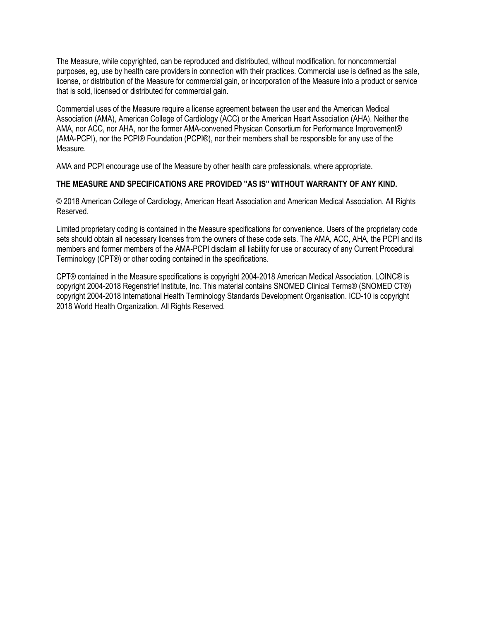The Measure, while copyrighted, can be reproduced and distributed, without modification, for noncommercial purposes, eg, use by health care providers in connection with their practices. Commercial use is defined as the sale, license, or distribution of the Measure for commercial gain, or incorporation of the Measure into a product or service that is sold, licensed or distributed for commercial gain.

Commercial uses of the Measure require a license agreement between the user and the American Medical Association (AMA), American College of Cardiology (ACC) or the American Heart Association (AHA). Neither the AMA, nor ACC, nor AHA, nor the former AMA-convened Physican Consortium for Performance Improvement® (AMA-PCPI), nor the PCPI® Foundation (PCPI®), nor their members shall be responsible for any use of the Measure.

AMA and PCPI encourage use of the Measure by other health care professionals, where appropriate.

## **THE MEASURE AND SPECIFICATIONS ARE PROVIDED "AS IS" WITHOUT WARRANTY OF ANY KIND.**

© 2018 American College of Cardiology, American Heart Association and American Medical Association. All Rights Reserved.

Limited proprietary coding is contained in the Measure specifications for convenience. Users of the proprietary code sets should obtain all necessary licenses from the owners of these code sets. The AMA, ACC, AHA, the PCPI and its members and former members of the AMA-PCPI disclaim all liability for use or accuracy of any Current Procedural Terminology (CPT®) or other coding contained in the specifications.

CPT® contained in the Measure specifications is copyright 2004-2018 American Medical Association. LOINC® is copyright 2004-2018 Regenstrief Institute, Inc. This material contains SNOMED Clinical Terms® (SNOMED CT®) copyright 2004-2018 International Health Terminology Standards Development Organisation. ICD-10 is copyright 2018 World Health Organization. All Rights Reserved.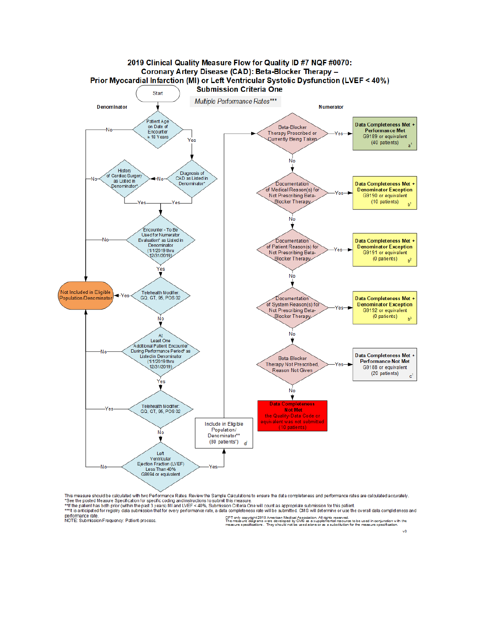

This measure should be calculated with two Performance Rates. Review the Sample Calculations to ensure the data completeness and performance rates are calculated accurately<br>\*See the posted Measure Specification for specifi

\*\*If the patient has both prior (within the past 3 years) MI and LVEF < 40%, Submission Criteria One will count as appropriate submission for this patient.<br>\*\*If is anticipated for registry data submission that for every pe

performance rate.<br>NOTE: Submission Frequency: Patient-process.

CPT only oopyright 2018 American Medical Association. All rights reserved.<br>The measure diagrams were developed by CMS as a supplemental resource to be used in conjunction w<br>measure specifications. They should not be used a vith the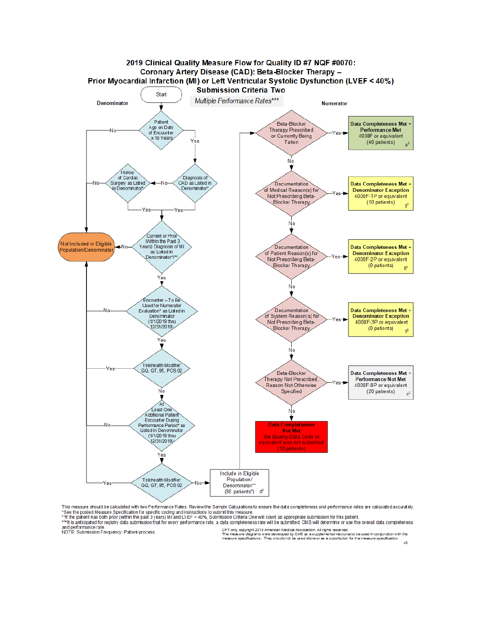

This measure should be calculated with two Performance Rates. Review the Sample Calculations to ensure the data completeness and performance rates are calculated accurately. The posted Measure Specification for specific coding and instructions to submit this measure.<br>\*\*If the patient has both prior (within the past 3 years) MI and LVEF < 40%, Submission Criteria One will count as appropriate s

\*\*\*It is anticipated for registry data submission that for every performance rate, a data completeness rate will be submitted. CMS will determine or use the overall data completeness and performance rate.

NOTE: Submission Frequency: Patient-process

CPT only copyright 2018 American Medical Association. All rights reserved.<br>The measure diagrams were developed by CMS as a supplemental resource to be used in conjunction with the<br>measure specifications. They should not be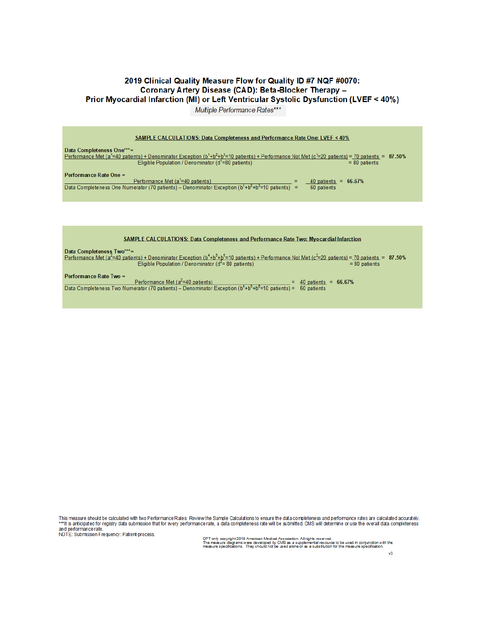#### 2019 Clinical Quality Measure Flow for Quality ID #7 NQF #0070: Coronary Artery Disease (CAD): Beta-Blocker Therapy -Prior Myocardial Infarction (MI) or Left Ventricular Systolic Dysfunction (LVEF < 40%)

Multiple Performance Rates\*\*\*



| SAMPLE CALCULATIONS: Data Completeness and Performance Rate Two: Myocardial Infarction                                                                                                                                                                                  |  |  |  |  |
|-------------------------------------------------------------------------------------------------------------------------------------------------------------------------------------------------------------------------------------------------------------------------|--|--|--|--|
| Data Completeness Two***=<br>Performance Met ( $a^2$ =40 patients) + Denominator Exception ( $b^4+b^5+b^6=10$ patients) + Performance Not Met ( $c^2=20$ patients) = 70 patients = 87.50%<br>Eligible Population / Denominator $(d^2 = 80$ patients)<br>$= 80$ patients |  |  |  |  |
| Performance Rate Two =<br>Performance Met $(a^2=40$ patients)<br>$= 40$ patients = 66.67%<br>Data Completeness Two Numerator (70 patients) - Denominator Exception (b4+b5+b6=10 patients) = 60 patients                                                                 |  |  |  |  |
|                                                                                                                                                                                                                                                                         |  |  |  |  |

This measure should be calculated with two Performance Rates. Review the Sample Calculations to ensure the data completeness and performance rates are calculated accurately.<br>\*\*\*It is anticipated for registry data submissio and performance rate.

NOTE: Submission Frequency: Patient-process.

CPT only copyright 2018 American Medical Association. All rights reserved.<br>The measure diagrams were developed by CMS as a supplemental resource to be used in conjunction with the<br>measure specifications. They should not be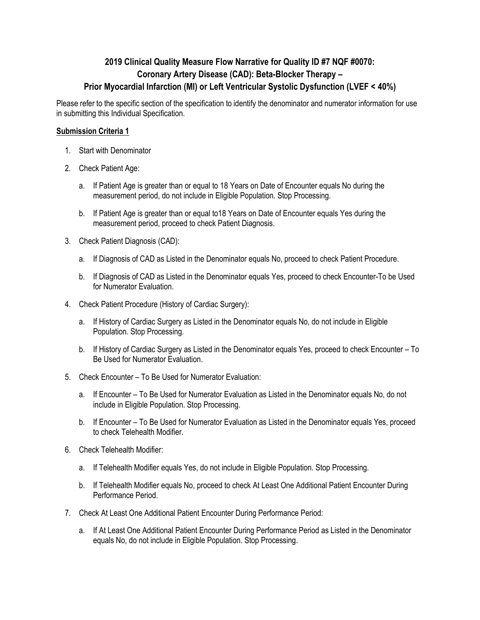# **2019 Clinical Quality Measure Flow Narrative for Quality ID #7 NQF #0070: Coronary Artery Disease (CAD): Beta-Blocker Therapy – Prior Myocardial Infarction (MI) or Left Ventricular Systolic Dysfunction (LVEF < 40%)**

Please refer to the specific section of the specification to identify the denominator and numerator information for use in submitting this Individual Specification.

## **Submission Criteria 1**

- 1. Start with Denominator
- 2. Check Patient Age:
	- a. If Patient Age is greater than or equal to 18 Years on Date of Encounter equals No during the measurement period, do not include in Eligible Population. Stop Processing.
	- b. If Patient Age is greater than or equal to18 Years on Date of Encounter equals Yes during the measurement period, proceed to check Patient Diagnosis.
- 3. Check Patient Diagnosis (CAD):
	- a. If Diagnosis of CAD as Listed in the Denominator equals No, proceed to check Patient Procedure.
	- b. If Diagnosis of CAD as Listed in the Denominator equals Yes, proceed to check Encounter-To be Used for Numerator Evaluation.
- 4. Check Patient Procedure (History of Cardiac Surgery):
	- a. If History of Cardiac Surgery as Listed in the Denominator equals No, do not include in Eligible Population. Stop Processing.
	- b. If History of Cardiac Surgery as Listed in the Denominator equals Yes, proceed to check Encounter To Be Used for Numerator Evaluation.
- 5. Check Encounter To Be Used for Numerator Evaluation:
	- a. If Encounter To Be Used for Numerator Evaluation as Listed in the Denominator equals No, do not include in Eligible Population. Stop Processing.
	- b. If Encounter To Be Used for Numerator Evaluation as Listed in the Denominator equals Yes, proceed to check Telehealth Modifier.
- 6. Check Telehealth Modifier:
	- a. If Telehealth Modifier equals Yes, do not include in Eligible Population. Stop Processing.
	- b. If Telehealth Modifier equals No, proceed to check At Least One Additional Patient Encounter During Performance Period.
- 7. Check At Least One Additional Patient Encounter During Performance Period:
	- a. If At Least One Additional Patient Encounter During Performance Period as Listed in the Denominator equals No, do not include in Eligible Population. Stop Processing.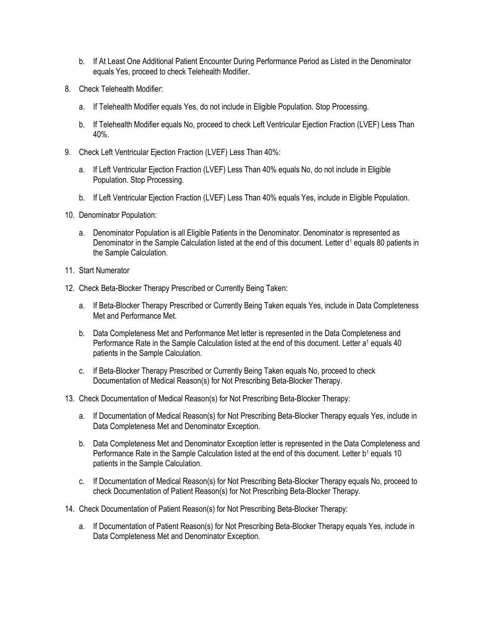- b. If At Least One Additional Patient Encounter During Performance Period as Listed in the Denominator equals Yes, proceed to check Telehealth Modifier.
- 8. Check Telehealth Modifier:
	- a. If Telehealth Modifier equals Yes, do not include in Eligible Population. Stop Processing.
	- b. If Telehealth Modifier equals No, proceed to check Left Ventricular Ejection Fraction (LVEF) Less Than 40%.
- 9. Check Left Ventricular Ejection Fraction (LVEF) Less Than 40%:
	- a. If Left Ventricular Ejection Fraction (LVEF) Less Than 40% equals No, do not include in Eligible Population. Stop Processing.
	- b. If Left Ventricular Ejection Fraction (LVEF) Less Than 40% equals Yes, include in Eligible Population.
- 10. Denominator Population:
	- a. Denominator Population is all Eligible Patients in the Denominator. Denominator is represented as Denominator in the Sample Calculation listed at the end of this document. Letter d<sup>1</sup> equals 80 patients in the Sample Calculation.
- 11. Start Numerator
- 12. Check Beta-Blocker Therapy Prescribed or Currently Being Taken:
	- a. If Beta-Blocker Therapy Prescribed or Currently Being Taken equals Yes, include in Data Completeness Met and Performance Met.
	- b. Data Completeness Met and Performance Met letter is represented in the Data Completeness and Performance Rate in the Sample Calculation listed at the end of this document. Letter a<sup>1</sup> equals 40 patients in the Sample Calculation.
	- c. If Beta-Blocker Therapy Prescribed or Currently Being Taken equals No, proceed to check Documentation of Medical Reason(s) for Not Prescribing Beta-Blocker Therapy.
- 13. Check Documentation of Medical Reason(s) for Not Prescribing Beta-Blocker Therapy:
	- a. If Documentation of Medical Reason(s) for Not Prescribing Beta-Blocker Therapy equals Yes, include in Data Completeness Met and Denominator Exception.
	- b. Data Completeness Met and Denominator Exception letter is represented in the Data Completeness and Performance Rate in the Sample Calculation listed at the end of this document. Letter b<sup>1</sup> equals 10 patients in the Sample Calculation.
	- c. If Documentation of Medical Reason(s) for Not Prescribing Beta-Blocker Therapy equals No, proceed to check Documentation of Patient Reason(s) for Not Prescribing Beta-Blocker Therapy.
- 14. Check Documentation of Patient Reason(s) for Not Prescribing Beta-Blocker Therapy:
	- a. If Documentation of Patient Reason(s) for Not Prescribing Beta-Blocker Therapy equals Yes, include in Data Completeness Met and Denominator Exception.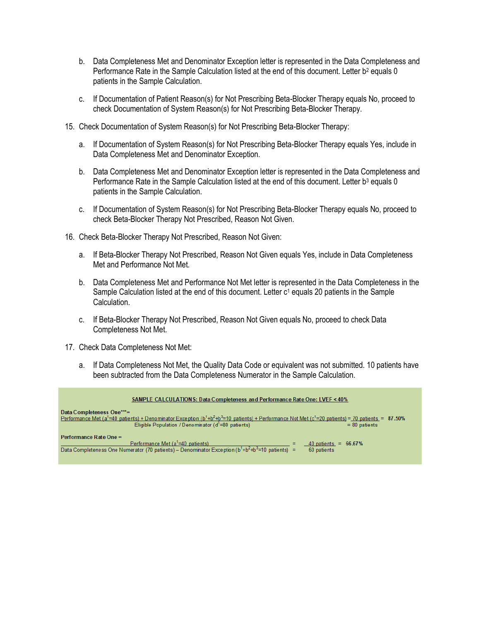- b. Data Completeness Met and Denominator Exception letter is represented in the Data Completeness and Performance Rate in the Sample Calculation listed at the end of this document. Letter b<sup>2</sup> equals 0 patients in the Sample Calculation.
- c. If Documentation of Patient Reason(s) for Not Prescribing Beta-Blocker Therapy equals No, proceed to check Documentation of System Reason(s) for Not Prescribing Beta-Blocker Therapy.
- 15. Check Documentation of System Reason(s) for Not Prescribing Beta-Blocker Therapy:
	- a. If Documentation of System Reason(s) for Not Prescribing Beta-Blocker Therapy equals Yes, include in Data Completeness Met and Denominator Exception.
	- b. Data Completeness Met and Denominator Exception letter is represented in the Data Completeness and Performance Rate in the Sample Calculation listed at the end of this document. Letter b<sup>3</sup> equals 0 patients in the Sample Calculation.
	- c. If Documentation of System Reason(s) for Not Prescribing Beta-Blocker Therapy equals No, proceed to check Beta-Blocker Therapy Not Prescribed, Reason Not Given.
- 16. Check Beta-Blocker Therapy Not Prescribed, Reason Not Given:
	- a. If Beta-Blocker Therapy Not Prescribed, Reason Not Given equals Yes, include in Data Completeness Met and Performance Not Met.
	- b. Data Completeness Met and Performance Not Met letter is represented in the Data Completeness in the Sample Calculation listed at the end of this document. Letter c<sup>1</sup> equals 20 patients in the Sample Calculation.
	- c. If Beta-Blocker Therapy Not Prescribed, Reason Not Given equals No, proceed to check Data Completeness Not Met.
- 17. Check Data Completeness Not Met:
	- a. If Data Completeness Not Met, the Quality Data Code or equivalent was not submitted. 10 patients have been subtracted from the Data Completeness Numerator in the Sample Calculation.

| SAMPLE CALCULATION S: Data Completeness and Performance Rate One: LVEF < 40%                                                                                                                                                                                                                                                      |  |  |  |  |
|-----------------------------------------------------------------------------------------------------------------------------------------------------------------------------------------------------------------------------------------------------------------------------------------------------------------------------------|--|--|--|--|
| Data Completeness One***=<br>Performance Met (a <sup>1</sup> =40 patients) + Denominator Exception (b <sup>1</sup> +b <sup>2</sup> +b <sup>3</sup> =10 patients) + Performance Not Met (c <sup>1</sup> =20 patients) = 70 patients = 87.50%<br>Eligible Population / Denominator (d <sup>1</sup> =80 patients)<br>$= 80$ patients |  |  |  |  |
| Performance Rate One =<br>Performance Met $(a1=40$ patients)<br>40 patients = $66.67\%$<br>Data Completeness One Numerator (70 patients) - Denominator Exception ( $b^1+b^2+b^3=10$ patients) =<br>60 patients                                                                                                                    |  |  |  |  |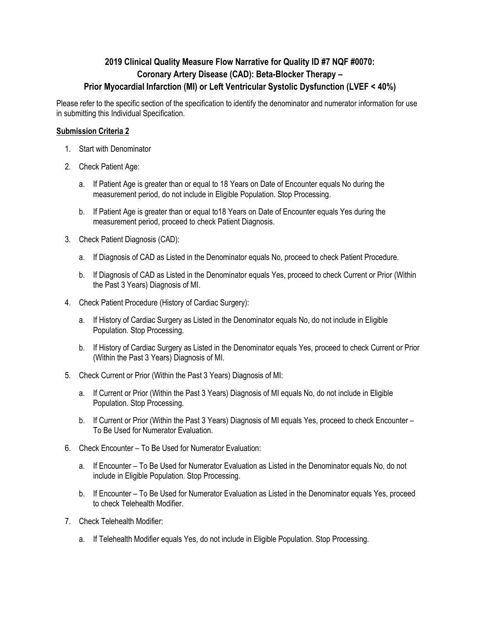# **2019 Clinical Quality Measure Flow Narrative for Quality ID #7 NQF #0070: Coronary Artery Disease (CAD): Beta-Blocker Therapy – Prior Myocardial Infarction (MI) or Left Ventricular Systolic Dysfunction (LVEF < 40%)**

Please refer to the specific section of the specification to identify the denominator and numerator information for use in submitting this Individual Specification.

## **Submission Criteria 2**

- 1. Start with Denominator
- 2. Check Patient Age:
	- a. If Patient Age is greater than or equal to 18 Years on Date of Encounter equals No during the measurement period, do not include in Eligible Population. Stop Processing.
	- b. If Patient Age is greater than or equal to18 Years on Date of Encounter equals Yes during the measurement period, proceed to check Patient Diagnosis.
- 3. Check Patient Diagnosis (CAD):
	- a. If Diagnosis of CAD as Listed in the Denominator equals No, proceed to check Patient Procedure.
	- b. If Diagnosis of CAD as Listed in the Denominator equals Yes, proceed to check Current or Prior (Within the Past 3 Years) Diagnosis of MI.
- 4. Check Patient Procedure (History of Cardiac Surgery):
	- a. If History of Cardiac Surgery as Listed in the Denominator equals No, do not include in Eligible Population. Stop Processing.
	- b. If History of Cardiac Surgery as Listed in the Denominator equals Yes, proceed to check Current or Prior (Within the Past 3 Years) Diagnosis of MI.
- 5. Check Current or Prior (Within the Past 3 Years) Diagnosis of MI:
	- a. If Current or Prior (Within the Past 3 Years) Diagnosis of MI equals No, do not include in Eligible Population. Stop Processing.
	- b. If Current or Prior (Within the Past 3 Years) Diagnosis of MI equals Yes, proceed to check Encounter To Be Used for Numerator Evaluation.
- 6. Check Encounter To Be Used for Numerator Evaluation:
	- a. If Encounter To Be Used for Numerator Evaluation as Listed in the Denominator equals No, do not include in Eligible Population. Stop Processing.
	- b. If Encounter To Be Used for Numerator Evaluation as Listed in the Denominator equals Yes, proceed to check Telehealth Modifier.
- 7. Check Telehealth Modifier:
	- a. If Telehealth Modifier equals Yes, do not include in Eligible Population. Stop Processing.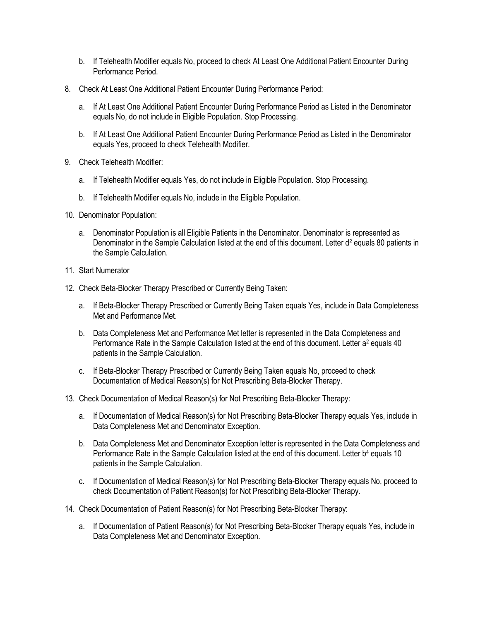- b. If Telehealth Modifier equals No, proceed to check At Least One Additional Patient Encounter During Performance Period.
- 8. Check At Least One Additional Patient Encounter During Performance Period:
	- a. If At Least One Additional Patient Encounter During Performance Period as Listed in the Denominator equals No, do not include in Eligible Population. Stop Processing.
	- b. If At Least One Additional Patient Encounter During Performance Period as Listed in the Denominator equals Yes, proceed to check Telehealth Modifier.
- 9. Check Telehealth Modifier:
	- a. If Telehealth Modifier equals Yes, do not include in Eligible Population. Stop Processing.
	- b. If Telehealth Modifier equals No, include in the Eligible Population.
- 10. Denominator Population:
	- a. Denominator Population is all Eligible Patients in the Denominator. Denominator is represented as Denominator in the Sample Calculation listed at the end of this document. Letter d<sup>2</sup> equals 80 patients in the Sample Calculation.
- 11. Start Numerator
- 12. Check Beta-Blocker Therapy Prescribed or Currently Being Taken:
	- a. If Beta-Blocker Therapy Prescribed or Currently Being Taken equals Yes, include in Data Completeness Met and Performance Met.
	- b. Data Completeness Met and Performance Met letter is represented in the Data Completeness and Performance Rate in the Sample Calculation listed at the end of this document. Letter  $a^2$  equals 40 patients in the Sample Calculation.
	- c. If Beta-Blocker Therapy Prescribed or Currently Being Taken equals No, proceed to check Documentation of Medical Reason(s) for Not Prescribing Beta-Blocker Therapy.
- 13. Check Documentation of Medical Reason(s) for Not Prescribing Beta-Blocker Therapy:
	- a. If Documentation of Medical Reason(s) for Not Prescribing Beta-Blocker Therapy equals Yes, include in Data Completeness Met and Denominator Exception.
	- b. Data Completeness Met and Denominator Exception letter is represented in the Data Completeness and Performance Rate in the Sample Calculation listed at the end of this document. Letter b<sup>4</sup> equals 10 patients in the Sample Calculation.
	- c. If Documentation of Medical Reason(s) for Not Prescribing Beta-Blocker Therapy equals No, proceed to check Documentation of Patient Reason(s) for Not Prescribing Beta-Blocker Therapy.
- 14. Check Documentation of Patient Reason(s) for Not Prescribing Beta-Blocker Therapy:
	- a. If Documentation of Patient Reason(s) for Not Prescribing Beta-Blocker Therapy equals Yes, include in Data Completeness Met and Denominator Exception.